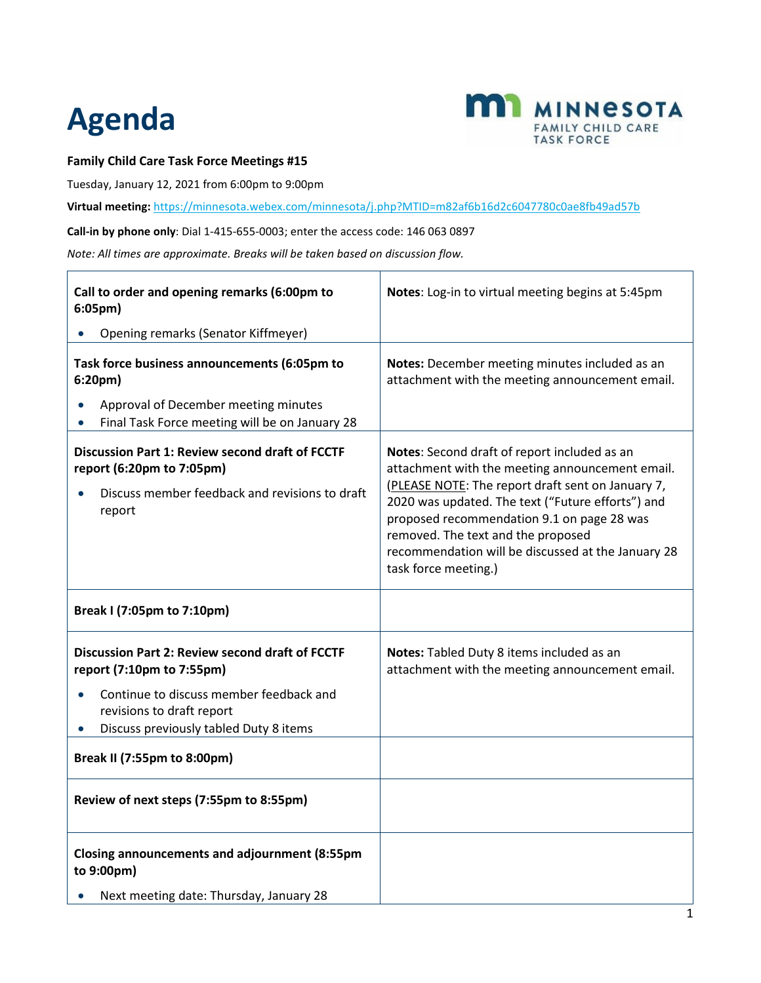## **Agenda**



## **Family Child Care Task Force Meetings #15**

Tuesday, January 12, 2021 from 6:00pm to 9:00pm

**Virtual meeting:** <https://minnesota.webex.com/minnesota/j.php?MTID=m82af6b16d2c6047780c0ae8fb49ad57b>

**Call-in by phone only**: Dial 1-415-655-0003; enter the access code: 146 063 0897

*Note: All times are approximate. Breaks will be taken based on discussion flow.*

| Call to order and opening remarks (6:00pm to<br>$6:05$ pm $)$                                                                                   | Notes: Log-in to virtual meeting begins at 5:45pm                                                                                                                                                                                                                                                                                                                           |
|-------------------------------------------------------------------------------------------------------------------------------------------------|-----------------------------------------------------------------------------------------------------------------------------------------------------------------------------------------------------------------------------------------------------------------------------------------------------------------------------------------------------------------------------|
| Opening remarks (Senator Kiffmeyer)                                                                                                             |                                                                                                                                                                                                                                                                                                                                                                             |
| Task force business announcements (6:05pm to<br>6:20 <sub>pm</sub>                                                                              | Notes: December meeting minutes included as an<br>attachment with the meeting announcement email.                                                                                                                                                                                                                                                                           |
| Approval of December meeting minutes<br>Final Task Force meeting will be on January 28                                                          |                                                                                                                                                                                                                                                                                                                                                                             |
| <b>Discussion Part 1: Review second draft of FCCTF</b><br>report (6:20pm to 7:05pm)<br>Discuss member feedback and revisions to draft<br>report | Notes: Second draft of report included as an<br>attachment with the meeting announcement email.<br>(PLEASE NOTE: The report draft sent on January 7,<br>2020 was updated. The text ("Future efforts") and<br>proposed recommendation 9.1 on page 28 was<br>removed. The text and the proposed<br>recommendation will be discussed at the January 28<br>task force meeting.) |
| Break I (7:05pm to 7:10pm)                                                                                                                      |                                                                                                                                                                                                                                                                                                                                                                             |
| <b>Discussion Part 2: Review second draft of FCCTF</b><br>report (7:10pm to 7:55pm)                                                             | Notes: Tabled Duty 8 items included as an<br>attachment with the meeting announcement email.                                                                                                                                                                                                                                                                                |
| Continue to discuss member feedback and<br>revisions to draft report<br>Discuss previously tabled Duty 8 items                                  |                                                                                                                                                                                                                                                                                                                                                                             |
| <b>Break II (7:55pm to 8:00pm)</b>                                                                                                              |                                                                                                                                                                                                                                                                                                                                                                             |
| Review of next steps (7:55pm to 8:55pm)                                                                                                         |                                                                                                                                                                                                                                                                                                                                                                             |
| <b>Closing announcements and adjournment (8:55pm</b><br>to 9:00pm)                                                                              |                                                                                                                                                                                                                                                                                                                                                                             |
| Next meeting date: Thursday, January 28                                                                                                         |                                                                                                                                                                                                                                                                                                                                                                             |